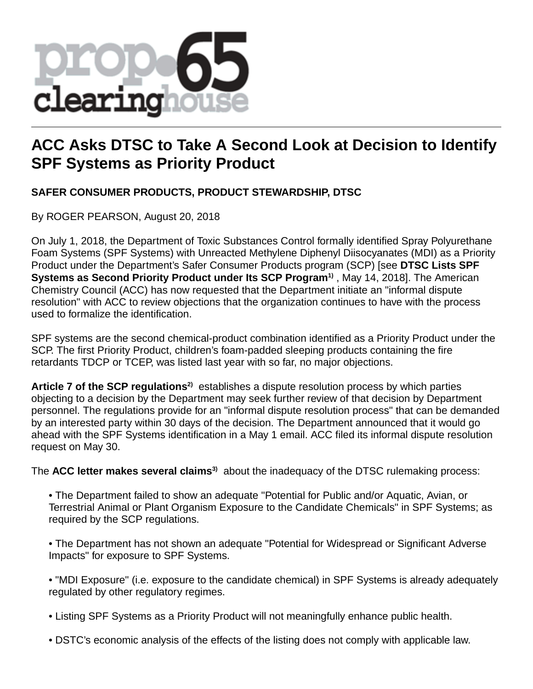

# **ACC Asks DTSC to Take A Second Look at Decision to Identify SPF Systems as Priority Product**

# **SAFER CONSUMER PRODUCTS, PRODUCT STEWARDSHIP, DTSC**

By ROGER PEARSON, August 20, 2018

On July 1, 2018, the Department of Toxic Substances Control formally identified Spray Polyurethane Foam Systems (SPF Systems) with Unreacted Methylene Diphenyl Diisocyanates (MDI) as a Priority Product under the Department's Safer Consumer Products program (SCP) [see **DTSC Lists SPF Systems as Second Priority Product under Its SCP Program1)** , May 14, 2018]. The American Chemistry Council (ACC) has now requested that the Department initiate an "informal dispute resolution" with ACC to review objections that the organization continues to have with the process used to formalize the identification.

SPF systems are the second chemical-product combination identified as a Priority Product under the SCP. The first Priority Product, children's foam-padded sleeping products containing the fire retardants TDCP or TCEP, was listed last year with so far, no major objections.

**Article 7 of the SCP regulations2)** establishes a dispute resolution process by which parties objecting to a decision by the Department may seek further review of that decision by Department personnel. The regulations provide for an "informal dispute resolution process" that can be demanded by an interested party within 30 days of the decision. The Department announced that it would go ahead with the SPF Systems identification in a May 1 email. ACC filed its informal dispute resolution request on May 30.

The **ACC letter makes several claims3)** about the inadequacy of the DTSC rulemaking process:

- The Department failed to show an adequate "Potential for Public and/or Aquatic, Avian, or Terrestrial Animal or Plant Organism Exposure to the Candidate Chemicals" in SPF Systems; as required by the SCP regulations.
- The Department has not shown an adequate "Potential for Widespread or Significant Adverse Impacts" for exposure to SPF Systems.
- "MDI Exposure" (i.e. exposure to the candidate chemical) in SPF Systems is already adequately regulated by other regulatory regimes.
- Listing SPF Systems as a Priority Product will not meaningfully enhance public health.
- DSTC's economic analysis of the effects of the listing does not comply with applicable law.